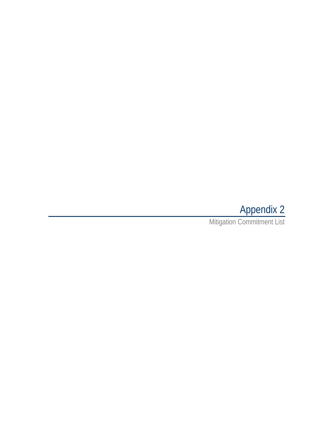# Appendix 2

Mitigation Commitment List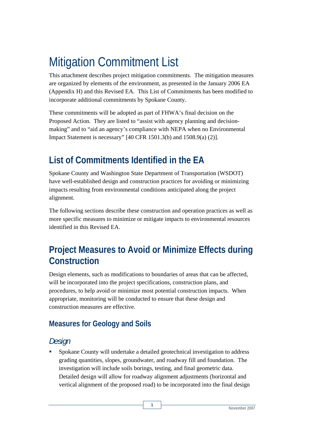# Mitigation Commitment List

This attachment describes project mitigation commitments. The mitigation measures are organized by elements of the environment, as presented in the January 2006 EA (Appendix H) and this Revised EA. This List of Commitments has been modified to incorporate additional commitments by Spokane County.

These commitments will be adopted as part of FHWA's final decision on the Proposed Action. They are listed to "assist with agency planning and decisionmaking" and to "aid an agency's compliance with NEPA when no Environmental Impact Statement is necessary" [40 CFR 1501.3(b) and 1508.9(a) (2)].

# **List of Commitments Identified in the EA**

Spokane County and Washington State Department of Transportation (WSDOT) have well-established design and construction practices for avoiding or minimizing impacts resulting from environmental conditions anticipated along the project alignment.

The following sections describe these construction and operation practices as well as more specific measures to minimize or mitigate impacts to environmental resources identified in this Revised EA.

## **Project Measures to Avoid or Minimize Effects during Construction**

Design elements, such as modifications to boundaries of areas that can be affected, will be incorporated into the project specifications, construction plans, and procedures, to help avoid or minimize most potential construction impacts. When appropriate, monitoring will be conducted to ensure that these design and construction measures are effective.

### **Measures for Geology and Soils**

### *Design*

 Spokane County will undertake a detailed geotechnical investigation to address grading quantities, slopes, groundwater, and roadway fill and foundation. The investigation will include soils borings, testing, and final geometric data. Detailed design will allow for roadway alignment adjustments (horizontal and vertical alignment of the proposed road) to be incorporated into the final design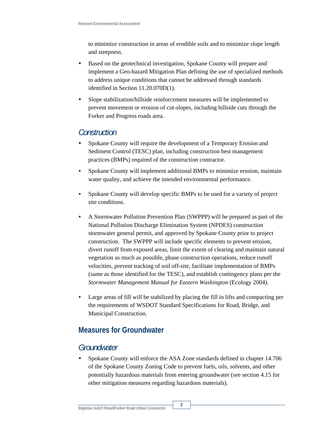to minimize construction in areas of erodible soils and to minimize slope length and steepness.

- Based on the geotechnical investigation, Spokane County will prepare and implement a Geo-hazard Mitigation Plan defining the use of specialized methods to address unique conditions that cannot be addressed through standards identified in Section 11.20.070D(1).
- Slope stabilization/hillside reinforcement measures will be implemented to prevent movement or erosion of cut-slopes, including hillside cuts through the Forker and Progress roads area.

#### *Construction*

- Spokane County will require the development of a Temporary Erosion and Sediment Control (TESC) plan, including construction best management practices (BMPs) required of the construction contractor.
- Spokane County will implement additional BMPs to minimize erosion, maintain water quality, and achieve the intended environmental performance.
- Spokane County will develop specific BMPs to be used for a variety of project site conditions.
- A Stormwater Pollution Prevention Plan (SWPPP) will be prepared as part of the National Pollution Discharge Elimination System (NPDES) construction stormwater general permit, and approved by Spokane County prior to project construction. The SWPPP will include specific elements to prevent erosion, divert runoff from exposed areas, limit the extent of clearing and maintain natural vegetation as much as possible, phase construction operations, reduce runoff velocities, prevent tracking of soil off-site, facilitate implementation of BMPs (same as those identified for the TESC), and establish contingency plans per the *Stormwater Management Manual for Eastern Washington* (Ecology 2004).
- Large areas of fill will be stabilized by placing the fill in lifts and compacting per the requirements of WSDOT Standard Specifications for Road, Bridge, and Municipal Construction.

### **Measures for Groundwater**

#### *Groundwater*

 Spokane County will enforce the ASA Zone standards defined in chapter 14.706 of the Spokane County Zoning Code to prevent fuels, oils, solvents, and other potentially hazardous materials from entering groundwater (see section 4.15 for other mitigation measures regarding hazardous materials).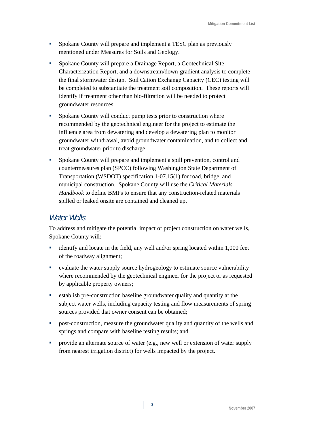- Spokane County will prepare and implement a TESC plan as previously mentioned under Measures for Soils and Geology.
- Spokane County will prepare a Drainage Report, a Geotechnical Site Characterization Report, and a downstream/down-gradient analysis to complete the final stormwater design. Soil Cation Exchange Capacity (CEC) testing will be completed to substantiate the treatment soil composition. These reports will identify if treatment other than bio-filtration will be needed to protect groundwater resources.
- Spokane County will conduct pump tests prior to construction where recommended by the geotechnical engineer for the project to estimate the influence area from dewatering and develop a dewatering plan to monitor groundwater withdrawal, avoid groundwater contamination, and to collect and treat groundwater prior to discharge.
- Spokane County will prepare and implement a spill prevention, control and countermeasures plan (SPCC) following Washington State Department of Transportation (WSDOT) specification 1-07.15(1) for road, bridge, and municipal construction. Spokane County will use the *Critical Materials Handbook* to define BMPs to ensure that any construction-related materials spilled or leaked onsite are contained and cleaned up.

#### *Water Wells*

To address and mitigate the potential impact of project construction on water wells, Spokane County will:

- identify and locate in the field, any well and/or spring located within 1,000 feet of the roadway alignment;
- evaluate the water supply source hydrogeology to estimate source vulnerability where recommended by the geotechnical engineer for the project or as requested by applicable property owners;
- establish pre-construction baseline groundwater quality and quantity at the subject water wells, including capacity testing and flow measurements of spring sources provided that owner consent can be obtained;
- **•** post-construction, measure the groundwater quality and quantity of the wells and springs and compare with baseline testing results; and
- provide an alternate source of water (e.g., new well or extension of water supply from nearest irrigation district) for wells impacted by the project.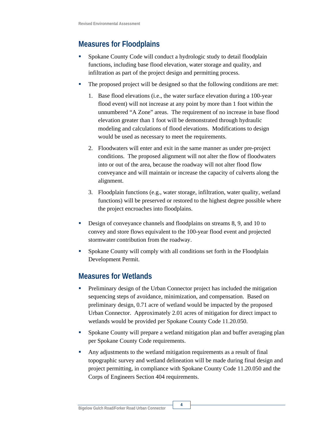### **Measures for Floodplains**

- Spokane County Code will conduct a hydrologic study to detail floodplain functions, including base flood elevation, water storage and quality, and infiltration as part of the project design and permitting process.
- The proposed project will be designed so that the following conditions are met:
	- 1. Base flood elevations (i.e., the water surface elevation during a 100-year flood event) will not increase at any point by more than 1 foot within the unnumbered "A Zone" areas. The requirement of no increase in base flood elevation greater than 1 foot will be demonstrated through hydraulic modeling and calculations of flood elevations. Modifications to design would be used as necessary to meet the requirements.
	- 2. Floodwaters will enter and exit in the same manner as under pre-project conditions. The proposed alignment will not alter the flow of floodwaters into or out of the area, because the roadway will not alter flood flow conveyance and will maintain or increase the capacity of culverts along the alignment.
	- 3. Floodplain functions (e.g., water storage, infiltration, water quality, wetland functions) will be preserved or restored to the highest degree possible where the project encroaches into floodplains.
- Design of conveyance channels and floodplains on streams 8, 9, and 10 to convey and store flows equivalent to the 100-year flood event and projected stormwater contribution from the roadway.
- Spokane County will comply with all conditions set forth in the Floodplain Development Permit.

### **Measures for Wetlands**

- Preliminary design of the Urban Connector project has included the mitigation sequencing steps of avoidance, minimization, and compensation. Based on preliminary design, 0.71 acre of wetland would be impacted by the proposed Urban Connector. Approximately 2.01 acres of mitigation for direct impact to wetlands would be provided per Spokane County Code 11.20.050.
- Spokane County will prepare a wetland mitigation plan and buffer averaging plan per Spokane County Code requirements.
- Any adjustments to the wetland mitigation requirements as a result of final topographic survey and wetland delineation will be made during final design and project permitting, in compliance with Spokane County Code 11.20.050 and the Corps of Engineers Section 404 requirements.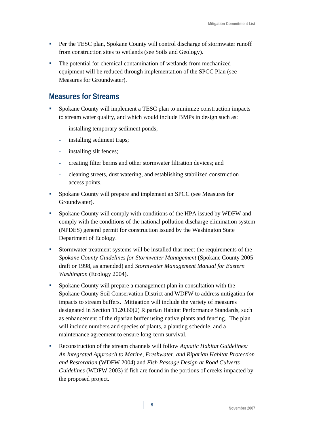- **Per the TESC plan, Spokane County will control discharge of stormwater runoff** from construction sites to wetlands (see Soils and Geology).
- The potential for chemical contamination of wetlands from mechanized equipment will be reduced through implementation of the SPCC Plan (see Measures for Groundwater).

#### **Measures for Streams**

- Spokane County will implement a TESC plan to minimize construction impacts to stream water quality, and which would include BMPs in design such as:
	- installing temporary sediment ponds;
	- installing sediment traps;
	- installing silt fences;
	- creating filter berms and other stormwater filtration devices; and
	- cleaning streets, dust watering, and establishing stabilized construction access points.
- Spokane County will prepare and implement an SPCC (see Measures for Groundwater).
- Spokane County will comply with conditions of the HPA issued by WDFW and comply with the conditions of the national pollution discharge elimination system (NPDES) general permit for construction issued by the Washington State Department of Ecology.
- Stormwater treatment systems will be installed that meet the requirements of the *Spokane County Guidelines for Stormwater Management* (Spokane County 2005 draft or 1998, as amended) and *Stormwater Management Manual for Eastern Washington* (Ecology 2004).
- Spokane County will prepare a management plan in consultation with the Spokane County Soil Conservation District and WDFW to address mitigation for impacts to stream buffers. Mitigation will include the variety of measures designated in Section 11.20.60(2) Riparian Habitat Performance Standards, such as enhancement of the riparian buffer using native plants and fencing. The plan will include numbers and species of plants, a planting schedule, and a maintenance agreement to ensure long-term survival.
- Reconstruction of the stream channels will follow *Aquatic Habitat Guidelines: An Integrated Approach to Marine, Freshwater, and Riparian Habitat Protection and Restoration* (WDFW 2004) and *Fish Passage Design at Road Culverts Guidelines* (WDFW 2003) if fish are found in the portions of creeks impacted by the proposed project.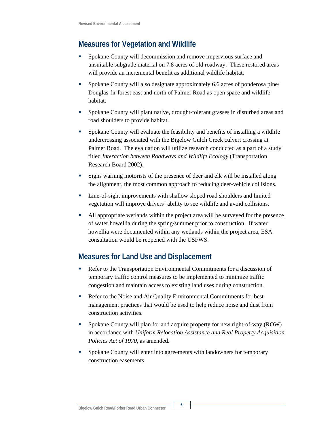#### **Measures for Vegetation and Wildlife**

- Spokane County will decommission and remove impervious surface and unsuitable subgrade material on 7.8 acres of old roadway. These restored areas will provide an incremental benefit as additional wildlife habitat.
- Spokane County will also designate approximately 6.6 acres of ponderosa pine/ Douglas-fir forest east and north of Palmer Road as open space and wildlife habitat.
- Spokane County will plant native, drought-tolerant grasses in disturbed areas and road shoulders to provide habitat.
- Spokane County will evaluate the feasibility and benefits of installing a wildlife undercrossing associated with the Bigelow Gulch Creek culvert crossing at Palmer Road. The evaluation will utilize research conducted as a part of a study titled *Interaction between Roadways and Wildlife Ecology* (Transportation Research Board 2002).
- Signs warning motorists of the presence of deer and elk will be installed along the alignment, the most common approach to reducing deer-vehicle collisions.
- Line-of-sight improvements with shallow sloped road shoulders and limited vegetation will improve drivers' ability to see wildlife and avoid collisions.
- All appropriate wetlands within the project area will be surveyed for the presence of water howellia during the spring/summer prior to construction. If water howellia were documented within any wetlands within the project area, ESA consultation would be reopened with the USFWS.

### **Measures for Land Use and Displacement**

- Refer to the Transportation Environmental Commitments for a discussion of temporary traffic control measures to be implemented to minimize traffic congestion and maintain access to existing land uses during construction.
- Refer to the Noise and Air Quality Environmental Commitments for best management practices that would be used to help reduce noise and dust from construction activities.
- Spokane County will plan for and acquire property for new right-of-way (ROW) in accordance with *Uniform Relocation Assistance and Real Property Acquisition Policies Act of 1970,* as amended.
- Spokane County will enter into agreements with landowners for temporary construction easements.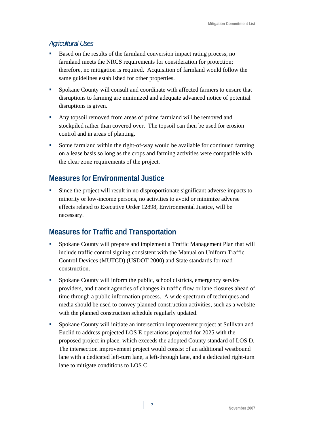#### *Agricultural Uses*

- Based on the results of the farmland conversion impact rating process, no farmland meets the NRCS requirements for consideration for protection; therefore, no mitigation is required. Acquisition of farmland would follow the same guidelines established for other properties.
- **Spokane County will consult and coordinate with affected farmers to ensure that** disruptions to farming are minimized and adequate advanced notice of potential disruptions is given.
- Any topsoil removed from areas of prime farmland will be removed and stockpiled rather than covered over. The topsoil can then be used for erosion control and in areas of planting.
- Some farmland within the right-of-way would be available for continued farming on a lease basis so long as the crops and farming activities were compatible with the clear zone requirements of the project.

#### **Measures for Environmental Justice**

 Since the project will result in no disproportionate significant adverse impacts to minority or low-income persons, no activities to avoid or minimize adverse effects related to Executive Order 12898, Environmental Justice, will be necessary.

### **Measures for Traffic and Transportation**

- Spokane County will prepare and implement a Traffic Management Plan that will include traffic control signing consistent with the Manual on Uniform Traffic Control Devices (MUTCD) (USDOT 2000) and State standards for road construction.
- Spokane County will inform the public, school districts, emergency service providers, and transit agencies of changes in traffic flow or lane closures ahead of time through a public information process. A wide spectrum of techniques and media should be used to convey planned construction activities, such as a website with the planned construction schedule regularly updated.
- Spokane County will initiate an intersection improvement project at Sullivan and Euclid to address projected LOS E operations projected for 2025 with the proposed project in place, which exceeds the adopted County standard of LOS D. The intersection improvement project would consist of an additional westbound lane with a dedicated left-turn lane, a left-through lane, and a dedicated right-turn lane to mitigate conditions to LOS C.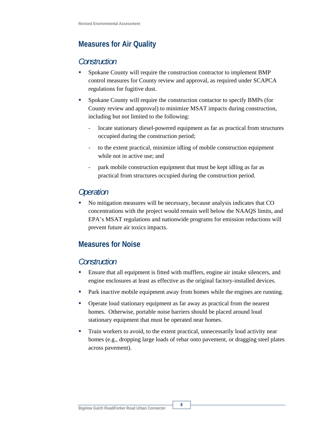### **Measures for Air Quality**

#### *Construction*

- Spokane County will require the construction contractor to implement BMP control measures for County review and approval, as required under SCAPCA regulations for fugitive dust.
- Spokane County will require the construction contactor to specify BMPs (for County review and approval) to minimize MSAT impacts during construction, including but not limited to the following:
	- locate stationary diesel-powered equipment as far as practical from structures occupied during the construction period;
	- to the extent practical, minimize idling of mobile construction equipment while not in active use; and
	- park mobile construction equipment that must be kept idling as far as practical from structures occupied during the construction period.

### *Operation*

 No mitigation measures will be necessary, because analysis indicates that CO concentrations with the project would remain well below the NAAQS limits, and EPA's MSAT regulations and nationwide programs for emission reductions will prevent future air toxics impacts.

### **Measures for Noise**

#### *Construction*

- Ensure that all equipment is fitted with mufflers, engine air intake silencers, and engine enclosures at least as effective as the original factory-installed devices.
- **Park inactive mobile equipment away from homes while the engines are running.**
- Operate loud stationary equipment as far away as practical from the nearest homes. Otherwise, portable noise barriers should be placed around loud stationary equipment that must be operated near homes.
- Train workers to avoid, to the extent practical, unnecessarily loud activity near homes (e.g., dropping large loads of rebar onto pavement, or dragging steel plates across pavement).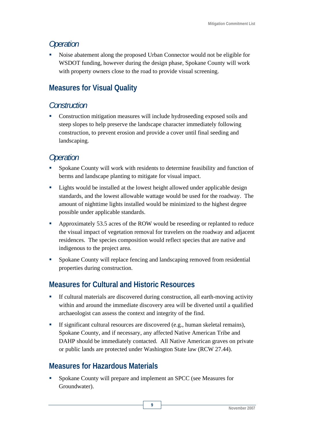### *Operation*

 Noise abatement along the proposed Urban Connector would not be eligible for WSDOT funding, however during the design phase, Spokane County will work with property owners close to the road to provide visual screening.

### **Measures for Visual Quality**

### *Construction*

• Construction mitigation measures will include hydroseeding exposed soils and steep slopes to help preserve the landscape character immediately following construction, to prevent erosion and provide a cover until final seeding and landscaping.

### *Operation*

- Spokane County will work with residents to determine feasibility and function of berms and landscape planting to mitigate for visual impact.
- **EXECUTE:** Lights would be installed at the lowest height allowed under applicable design standards, and the lowest allowable wattage would be used for the roadway. The amount of nighttime lights installed would be minimized to the highest degree possible under applicable standards.
- Approximately 53.5 acres of the ROW would be reseeding or replanted to reduce the visual impact of vegetation removal for travelers on the roadway and adjacent residences. The species composition would reflect species that are native and indigenous to the project area.
- **Spokane County will replace fencing and landscaping removed from residential** properties during construction.

### **Measures for Cultural and Historic Resources**

- If cultural materials are discovered during construction, all earth-moving activity within and around the immediate discovery area will be diverted until a qualified archaeologist can assess the context and integrity of the find.
- If significant cultural resources are discovered (e.g., human skeletal remains), Spokane County, and if necessary, any affected Native American Tribe and DAHP should be immediately contacted. All Native American graves on private or public lands are protected under Washington State law (RCW 27.44).

**9** 

### **Measures for Hazardous Materials**

**Spokane County will prepare and implement an SPCC (see Measures for** Groundwater).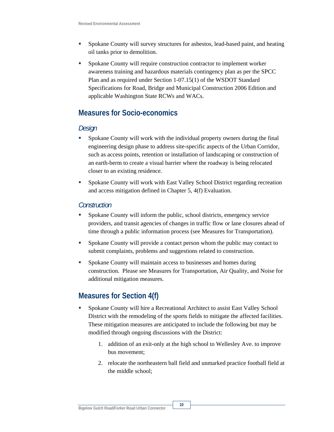- Spokane County will survey structures for asbestos, lead-based paint, and heating oil tanks prior to demolition.
- Spokane County will require construction contractor to implement worker awareness training and hazardous materials contingency plan as per the SPCC Plan and as required under Section 1-07.15(1) of the WSDOT Standard Specifications for Road, Bridge and Municipal Construction 2006 Edition and applicable Washington State RCWs and WACs.

### **Measures for Socio-economics**

#### *Design*

- Spokane County will work with the individual property owners during the final engineering design phase to address site-specific aspects of the Urban Corridor, such as access points, retention or installation of landscaping or construction of an earth-berm to create a visual barrier where the roadway is being relocated closer to an existing residence.
- **Spokane County will work with East Valley School District regarding recreation** and access mitigation defined in Chapter 5, 4(f) Evaluation.

#### *Construction*

- Spokane County will inform the public, school districts, emergency service providers, and transit agencies of changes in traffic flow or lane closures ahead of time through a public information process (see Measures for Transportation).
- **Spokane County will provide a contact person whom the public may contact to** submit complaints, problems and suggestions related to construction.
- **Spokane County will maintain access to businesses and homes during** construction. Please see Measures for Transportation, Air Quality, and Noise for additional mitigation measures.

### **Measures for Section 4(f)**

- **Spokane County will hire a Recreational Architect to assist East Valley School** District with the remodeling of the sports fields to mitigate the affected facilities. These mitigation measures are anticipated to include the following but may be modified through ongoing discussions with the District:
	- 1. addition of an exit-only at the high school to Wellesley Ave. to improve bus movement;
	- 2. relocate the northeastern ball field and unmarked practice football field at the middle school;